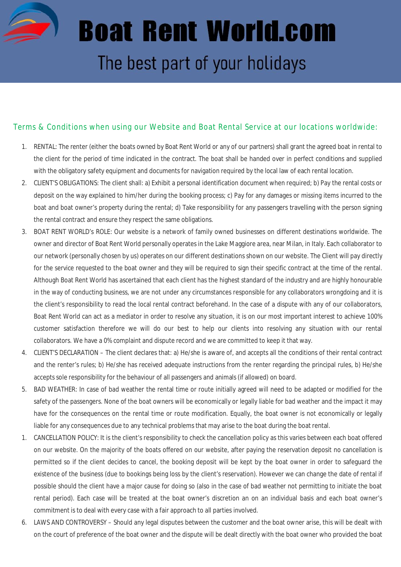

## **Boat Rent World.com** The best part of your holidays

## Terms & Conditions when using our Website and Boat Rental Service at our locations worldwide:

- 1. RENTAL: The renter (either the boats owned by Boat Rent World or any of our partners) shall grant the agreed boat in rental to the client for the period of time indicated in the contract. The boat shall be handed over in perfect conditions and supplied with the obligatory safety equipment and documents for navigation required by the local law of each rental location.
- 2. CLIENT'S OBLIGATIONS: The client shall: a) Exhibit a personal identification document when required; b) Pay the rental costs or deposit on the way explained to him/her during the booking process; c) Pay for any damages or missing items incurred to the boat and boat owner's property during the rental; d) Take responsibility for any passengers travelling with the person signing the rental contract and ensure they respect the same obligations.
- 3. BOAT RENT WORLD's ROLE: Our website is a network of family owned businesses on different destinations worldwide. The owner and director of Boat Rent World personally operates in the Lake Maggiore area, near Milan, in Italy. Each collaborator to our network (personally chosen by us) operates on our different destinations shown on our website. The Client will pay directly for the service requested to the boat owner and they will be required to sign their specific contract at the time of the rental. Although Boat Rent World has ascertained that each client has the highest standard of the industry and are highly honourable in the way of conducting business, we are not under any circumstances responsible for any collaborators wrongdoing and it is the client's responsibility to read the local rental contract beforehand. In the case of a dispute with any of our collaborators, Boat Rent World can act as a mediator in order to resolve any situation, it is on our most important interest to achieve 100% customer satisfaction therefore we will do our best to help our clients into resolving any situation with our rental collaborators. We have a 0% complaint and dispute record and we are committed to keep it that way.
- 4. CLIENT'S DECLARATION The client declares that: a) He/she is aware of, and accepts all the conditions of their rental contract and the renter's rules; b) He/she has received adequate instructions from the renter regarding the principal rules, b) He/she accepts sole responsibility for the behaviour of all passengers and animals(if allowed) on board.
- 5. BAD WEATHER: In case of bad weather the rental time or route initially agreed will need to be adapted or modified for the safety of the passengers. None of the boat owners will be economically or legally liable for bad weather and the impact it may have for the consequences on the rental time or route modification. Equally, the boat owner is not economically or legally liable for any consequences due to any technical problems that may arise to the boat during the boat rental.
- 1. CANCELLATION POLICY: It is the client's responsibility to check the cancellation policy as this varies between each boat offered on our website. On the majority of the boats offered on our website, after paying the reservation deposit no cancellation is permitted so if the client decides to cancel, the booking deposit will be kept by the boat owner in order to safeguard the existence of the business (due to bookings being loss by the client's reservation). However we can change the date of rental if possible should the client have a major cause for doing so (also in the case of bad weather not permitting to initiate the boat rental period). Each case will be treated at the boat owner's discretion an on an individual basis and each boat owner's commitment is to deal with every case with a fair approach to all parties involved.
- 6. LAWS AND CONTROVERSY Should any legal disputes between the customer and the boat owner arise, this will be dealt with on the court of preference of the boat owner and the dispute will be dealt directly with the boat owner who provided the boat